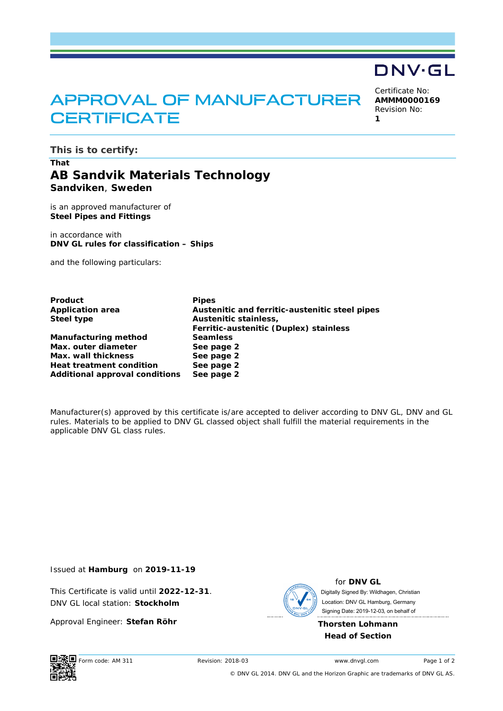# APPROVAL OF MANUFACTURER **CERTIFICATE**

Certificate No: **AMMM0000169** Revision No:

**DNV·GL** 

**1** 

**This is to certify:** 

# **That AB Sandvik Materials Technology Sandviken**, **Sweden**

is an approved manufacturer of **Steel Pipes and Fittings**

in accordance with **DNV GL rules for classification – Ships** 

and the following particulars:

| Product                               | <b>Pipes</b>                                   |
|---------------------------------------|------------------------------------------------|
| <b>Application area</b>               | Austenitic and ferritic-austenitic steel pipes |
| Steel type                            | Austenitic stainless,                          |
|                                       | Ferritic-austenitic (Duplex) stainless         |
| Manufacturing method                  | <b>Seamless</b>                                |
| Max. outer diameter                   | See page 2                                     |
| Max. wall thickness                   | See page 2                                     |
| <b>Heat treatment condition</b>       | See page 2                                     |
| <b>Additional approval conditions</b> | See page 2                                     |

Manufacturer(s) approved by this certificate is/are accepted to deliver according to DNV GL, DNV and GL rules. Materials to be applied to DNV GL classed object shall fulfill the material requirements in the applicable DNV GL class rules.

Issued at **Hamburg** on **2019-11-19**

This Certificate is valid until **2022-12-31**. DNV GL local station: **Stockholm**

Approval Engineer: **Stefan Röhr**



for **DNV GL** Signing Date: 2019-12-03 , on behalf ofDigitally Signed By: Wildhagen, Christian Location: DNV GL Hamburg, Germany

**Thorsten Lohmann Head of Section** 



Form code: AM 311 Revision: 2018-03 www.dnvgl.com Page 1 of 2

© DNV GL 2014. DNV GL and the Horizon Graphic are trademarks of DNV GL AS.